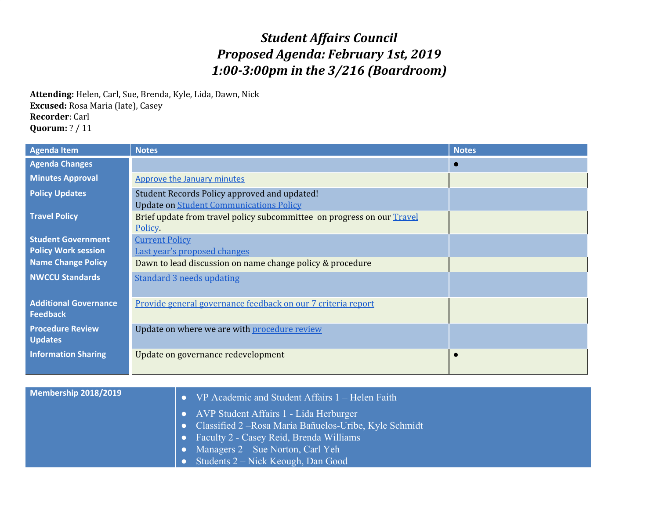## *Student Affairs Council Proposed Agenda: February 1st, 2019 1:00-3:00pm in the 3/216 (Boardroom)*

**Attending:** Helen, Carl, Sue, Brenda, Kyle, Lida, Dawn, Nick **Excused:** Rosa Maria (late), Casey **Recorder**: Carl **Quorum:** ? / 11

| <b>Agenda Item</b>                              | <b>Notes</b>                                                                                   | <b>Notes</b> |
|-------------------------------------------------|------------------------------------------------------------------------------------------------|--------------|
| <b>Agenda Changes</b>                           |                                                                                                |              |
| <b>Minutes Approval</b>                         | <b>Approve the January minutes</b>                                                             |              |
| <b>Policy Updates</b>                           | Student Records Policy approved and updated!<br><b>Update on Student Communications Policy</b> |              |
| <b>Travel Policy</b>                            | Brief update from travel policy subcommittee on progress on our Travel<br>Policy.              |              |
| <b>Student Government</b>                       | <b>Current Policy</b>                                                                          |              |
| <b>Policy Work session</b>                      | Last year's proposed changes                                                                   |              |
| <b>Name Change Policy</b>                       | Dawn to lead discussion on name change policy & procedure                                      |              |
| <b>NWCCU Standards</b>                          | <b>Standard 3 needs updating</b>                                                               |              |
| <b>Additional Governance</b><br><b>Feedback</b> | Provide general governance feedback on our 7 criteria report                                   |              |
| <b>Procedure Review</b><br><b>Updates</b>       | Update on where we are with procedure review                                                   |              |
| <b>Information Sharing</b>                      | Update on governance redevelopment                                                             |              |

| Membership 2018/2019 | • VP Academic and Student Affairs $1 -$ Helen Faith      |
|----------------------|----------------------------------------------------------|
|                      | • AVP Student Affairs 1 - Lida Herburger                 |
|                      | • Classified 2 – Rosa Maria Bañuelos-Uribe, Kyle Schmidt |
|                      | • Faculty 2 - Casey Reid, Brenda Williams                |
|                      | • Managers $2 - S$ ue Norton, Carl Yeh                   |
|                      | • Students $2$ – Nick Keough, Dan Good                   |